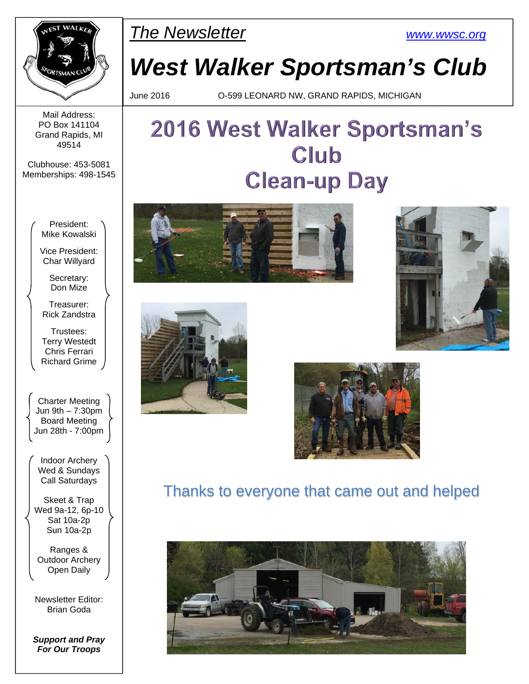

PET WALKER **The Newsletter** WWW.wwsc.org

# *West Walker Sportsman's Club*

June 2016 O-599 LEONARD NW, GRAND RAPIDS, MICHIGAN

#### Mail Address: PO Box 141104 Grand Rapids, MI 49514

Clubhouse: 453-5081 Memberships: 498-1545

> President: Mike Kowalski

Vice President: Char Willyard

Secretary: Don Mize

Treasurer: Rick Zandstra

Trustees: Terry Westedt Chris Ferrari Richard Grime

Charter Meeting Jun 9th – 7:30pm Board Meeting Jun 28th - 7:00pm

Indoor Archery Wed & Sundays Call Saturdays

Skeet & Trap Wed 9a-12, 6p-10 Sat 10a-2p Sun 10a-2p

Ranges & Outdoor Archery Open Daily

Newsletter Editor: Brian Goda

*Support and Pray For Our Troops* 

# 2016 West Walker Sportsman's Club **Clean-up Day**









## Thanks to everyone that came out and helped

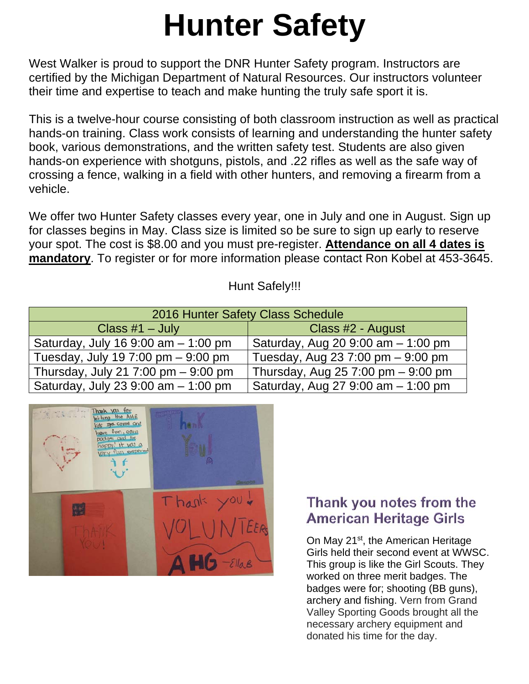# **Hunter Safety**

West Walker is proud to support the DNR Hunter Safety program. Instructors are certified by the Michigan Department of Natural Resources. Our instructors volunteer their time and expertise to teach and make hunting the truly safe sport it is.

This is a twelve-hour course consisting of both classroom instruction as well as practical hands-on training. Class work consists of learning and understanding the hunter safety book, various demonstrations, and the written safety test. Students are also given hands-on experience with shotguns, pistols, and .22 rifles as well as the safe way of crossing a fence, walking in a field with other hunters, and removing a firearm from a vehicle.

We offer two Hunter Safety classes every year, one in July and one in August. Sign up for classes begins in May. Class size is limited so be sure to sign up early to reserve your spot. The cost is \$8.00 and you must pre-register. **Attendance on all 4 dates is mandatory**. To register or for more information please contact Ron Kobel at 453-3645.

### Hunt Safely!!!

| 2016 Hunter Safety Class Schedule     |                                                     |  |  |  |  |
|---------------------------------------|-----------------------------------------------------|--|--|--|--|
| Class $#1 - July$                     | Class #2 - August                                   |  |  |  |  |
| Saturday, July 16 9:00 am $-$ 1:00 pm | Saturday, Aug 20 9:00 am - 1:00 pm                  |  |  |  |  |
| Tuesday, July 19 7:00 pm $-$ 9:00 pm  | Tuesday, Aug 23 7:00 pm $-9:00$ pm                  |  |  |  |  |
| Thursday, July 21 7:00 pm $-9:00$ pm  | Thursday, Aug $257:00 \text{ pm} - 9:00 \text{ pm}$ |  |  |  |  |
| Saturday, July 23 9:00 am - 1:00 pm   | Saturday, Aug 27 9:00 am - 1:00 pm                  |  |  |  |  |



## Thank you notes from the **American Heritage Girls**

On May 21<sup>st</sup>, the American Heritage Girls held their second event at WWSC. This group is like the Girl Scouts. They worked on three merit badges. The badges were for; shooting (BB guns), archery and fishing. Vern from Grand Valley Sporting Goods brought all the necessary archery equipment and donated his time for the day.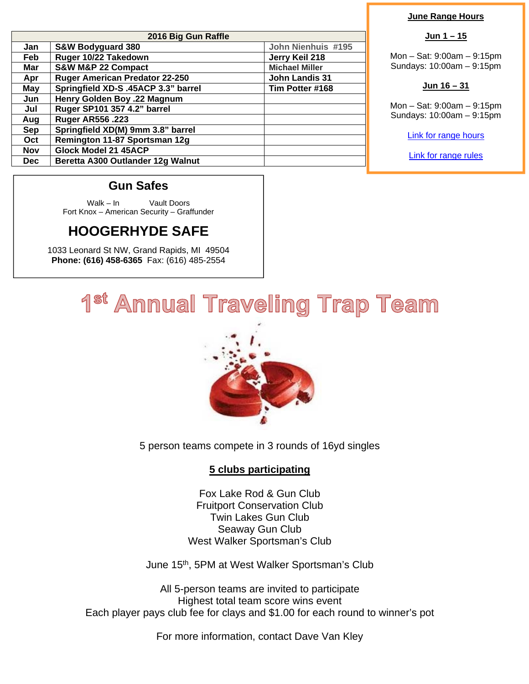| 2016 Big Gun Raffle |                                       |                       |  |  |  |
|---------------------|---------------------------------------|-----------------------|--|--|--|
| Jan                 | <b>S&amp;W Bodyguard 380</b>          | John Nienhuis #195    |  |  |  |
| Feb                 | Ruger 10/22 Takedown                  | Jerry Keil 218        |  |  |  |
| Mar                 | S&W M&P 22 Compact                    | <b>Michael Miller</b> |  |  |  |
| Apr                 | <b>Ruger American Predator 22-250</b> | <b>John Landis 31</b> |  |  |  |
| May                 | Springfield XD-S .45ACP 3.3" barrel   | Tim Potter #168       |  |  |  |
| Jun                 | Henry Golden Boy .22 Magnum           |                       |  |  |  |
| Jul                 | Ruger SP101 357 4.2" barrel           |                       |  |  |  |
| Aug                 | <b>Ruger AR556.223</b>                |                       |  |  |  |
| <b>Sep</b>          | Springfield XD(M) 9mm 3.8" barrel     |                       |  |  |  |
| Oct                 | Remington 11-87 Sportsman 12g         |                       |  |  |  |
| <b>Nov</b>          | Glock Model 21 45ACP                  |                       |  |  |  |
| <b>Dec</b>          | Beretta A300 Outlander 12g Walnut     |                       |  |  |  |

#### **June Range Hours**

#### **Jun 1 – 15**

Mon – Sat: 9:00am – 9:15pm Sundays: 10:00am – 9:15pm

#### **Jun 16 – 31**

Mon – Sat: 9:00am – 9:15pm Sundays: 10:00am – 9:15pm

Link for range hours

Link for range rules

#### **Gun Safes**

Walk – In Vault Doors Fort Knox – American Security – Graffunder

## **HOOGERHYDE SAFE**

1033 Leonard St NW, Grand Rapids, MI 49504 **Phone: (616) 458-6365** Fax: (616) 485-2554

## 1<sup>st</sup> Annual Traveling Trap Team



5 person teams compete in 3 rounds of 16yd singles

#### **5 clubs participating**

Fox Lake Rod & Gun Club Fruitport Conservation Club Twin Lakes Gun Club Seaway Gun Club West Walker Sportsman's Club

June 15<sup>th</sup>, 5PM at West Walker Sportsman's Club

All 5-person teams are invited to participate Highest total team score wins event Each player pays club fee for clays and \$1.00 for each round to winner's pot

For more information, contact Dave Van Kley